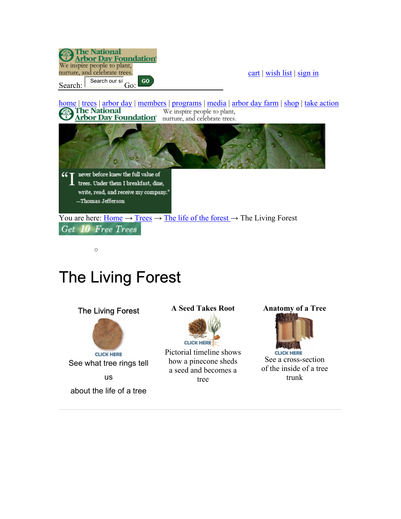

## The Living Forest

**The National** 



**Anatomy of a Tree**



**CLICK HERE** See a cross-section of the inside of a tree trunk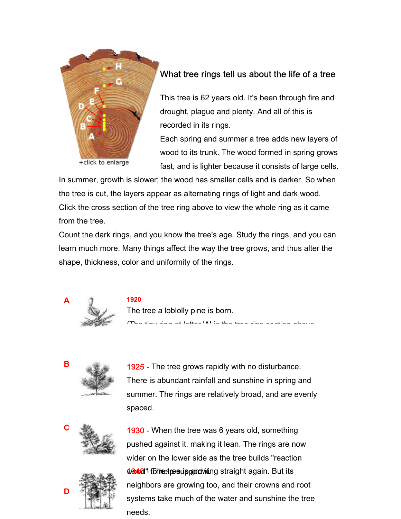

## What tree rings tell us about the life of a tree

This tree is 62 years old. It's been through fire and drought, plague and plenty. And all of this is recorded in its rings.

Each spring and summer a tree adds new layers of wood to its trunk. The wood formed in spring grows fast, and is lighter because it consists of large cells.

In summer, growth is slower; the wood has smaller cells and is darker. So when the tree is cut, the layers appear as alternating rings of light and dark wood. Click the cross section of the tree ring above to view the whole ring as it came from the tree.

Count the dark rings, and you know the tree's age. Study the rings, and you can learn much more. Many things affect the way the tree grows, and thus alter the shape, thickness, color and uniformity of the rings.



The tree a loblolly pine is born. (The tiny ring at letter 'A' in the tree ring section above

**B** 1925 - The tree grows rapidly with no disturbance. There is abundant rainfall and sunshine in spring and summer. The rings are relatively broad, and are evenly spaced.



**1930 - When the tree was 6 years old, something** pushed against it, making it lean. The rings are now wider on the lower side as the tree builds "reaction 1040 - to heelpesupport wing straight again. But its neighbors are growing too, and their crowns and root systems take much of the water and sunshine the tree needs.